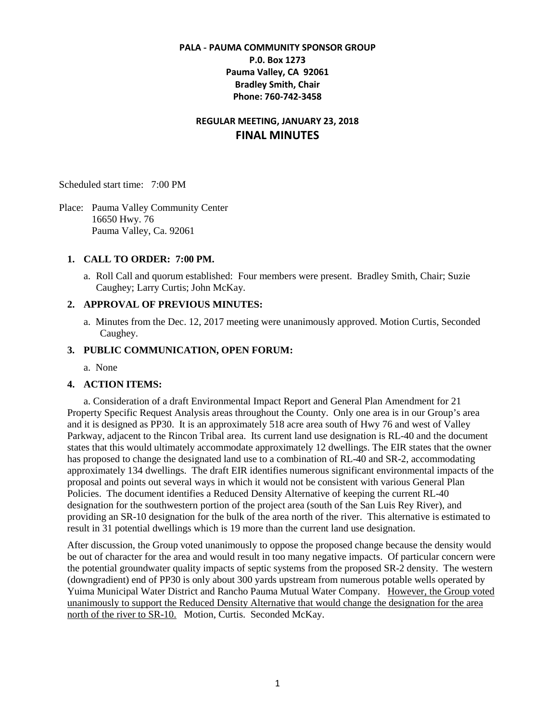## **PALA - PAUMA COMMUNITY SPONSOR GROUP P.0. Box 1273 Pauma Valley, CA 92061 Bradley Smith, Chair Phone: 760-742-3458**

# **REGULAR MEETING, JANUARY 23, 2018 FINAL MINUTES**

Scheduled start time: 7:00 PM

Place: Pauma Valley Community Center 16650 Hwy. 76 Pauma Valley, Ca. 92061

#### **1. CALL TO ORDER: 7:00 PM.**

a. Roll Call and quorum established: Four members were present. Bradley Smith, Chair; Suzie Caughey; Larry Curtis; John McKay.

### **2. APPROVAL OF PREVIOUS MINUTES:**

a. Minutes from the Dec. 12, 2017 meeting were unanimously approved. Motion Curtis, Seconded Caughey.

### **3. PUBLIC COMMUNICATION, OPEN FORUM:**

a. None

#### **4. ACTION ITEMS:**

a. Consideration of a draft Environmental Impact Report and General Plan Amendment for 21 Property Specific Request Analysis areas throughout the County. Only one area is in our Group's area and it is designed as PP30. It is an approximately 518 acre area south of Hwy 76 and west of Valley Parkway, adjacent to the Rincon Tribal area. Its current land use designation is RL-40 and the document states that this would ultimately accommodate approximately 12 dwellings. The EIR states that the owner has proposed to change the designated land use to a combination of RL-40 and SR-2, accommodating approximately 134 dwellings. The draft EIR identifies numerous significant environmental impacts of the proposal and points out several ways in which it would not be consistent with various General Plan Policies. The document identifies a Reduced Density Alternative of keeping the current RL-40 designation for the southwestern portion of the project area (south of the San Luis Rey River), and providing an SR-10 designation for the bulk of the area north of the river. This alternative is estimated to result in 31 potential dwellings which is 19 more than the current land use designation.

After discussion, the Group voted unanimously to oppose the proposed change because the density would be out of character for the area and would result in too many negative impacts. Of particular concern were the potential groundwater quality impacts of septic systems from the proposed SR-2 density. The western (downgradient) end of PP30 is only about 300 yards upstream from numerous potable wells operated by Yuima Municipal Water District and Rancho Pauma Mutual Water Company. However, the Group voted unanimously to support the Reduced Density Alternative that would change the designation for the area north of the river to SR-10. Motion, Curtis. Seconded McKay.